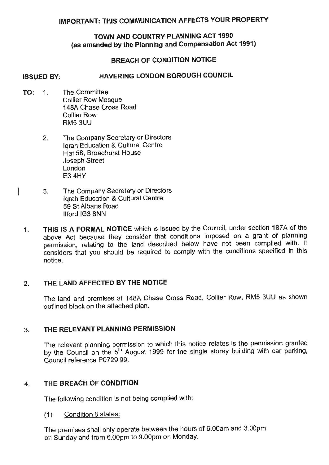# **IMPORTANT: THIS COMMUNICATION AFFECTS YOUR PROPERTY**

# **TOWN AND COUNTRY PLANNING ACT 1990 (as amended by the Planning and Compensation Act 1991)**

## **BREACH OF CONDITION NOTICE**

# **ISSUED BY: HAVERING LONDON BOROUGH COUNCIL**

**TO:** 1. The Committee Collier Row Mosque 148A Chase Cross Road Collier Row RM53UU

 $\overline{\phantom{a}}$ 

- 2. The Company Secretary or Directors lqrah Education & Cultural Centre Flat 58, Broadhurst House Joseph Street London E3 4HY
- 3. The Company Secretary or Directors lgrah Education & Cultural Centre 59 St Albans Road llford IG3 8NN
- 1. **THIS IS A FORMAL NOTICE** which is issued by the Council, under section 187A of the above Act because they consider that conditions imposed on a grant of planning permission, relating to the land described below have not been complied with. It considers that you should be required to comply with the conditions specified in this notice.

## 2. **THE LAND AFFECTED BY THE NOTICE**

The land and premises at 148A Chase Cross Road, Collier Row, RM5 3UU as shown outlined black on the attached plan.

## 3. **THE RELEVANT PLANNING PERMISSION**

The relevant planning permission to which this notice relates is the permission granted by the Council on the 5<sup>th</sup> August 1999 for the single storey building with car parking, Council reference P0729.99.

### 4. **THE BREACH OF CONDITION**

The following condition is not being complied with:

(1) Condition 8 states:

The premises shall only operate between the hours of 6.00am and 3.00pm on Sunday and from 6.00pm to 9.00pm on Monday.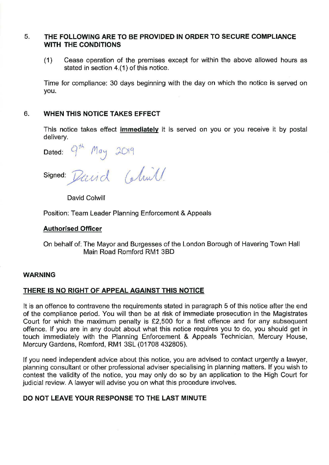## 5. **THE FOLLOWING ARE TO BE PROVIDED IN ORDER TO SECURE COMPLIANCE WITH THE CONDITIONS**

(1) Cease operation of the premises except for within the above allowed hours as stated in section 4.(1) of this notice.

Time for compliance: 30 days beginning with the day on which the notice is served on you.

## 6. **WHEN THIS NOTICE TAKES EFFECT**

This notice takes effect **immediately** it is served on you or you receive it by postal delivery.

Dated:  $Q^{th}$  May 2019

signed: Dand

David Colwill

Position: Team Leader Planning Enforcement & Appeals

### **Authorised Officer**

On behalf of: The Mayor and Burgesses of the London Borough of Havering Town Hall Main Road Romford RM1 38D

### **WARNING**

### **THERE IS NO RIGHT OF APPEAL AGAINST THIS NOTICE**

It is an offence to contravene the requirements stated in paragraph 5 of this notice after the end of the compliance period. You will then be at risk of immediate prosecution in the Magistrates Court for which the maximum penalty is £2,500 for a first offence and for any subsequent offence. If you are in any doubt about what this notice requires you to do, you should get in touch immediately with the Planning Enforcement & Appeals Technician, Mercury House, Mercury Gardens, Romford, RM1 3SL (01708 432805).

If you need independent advice about this notice, you are advised to contact urgently a lawyer, planning consultant or other professional adviser specialising in planning matters. If you wish to contest the validity of the notice, you may only do so by an application to the High Court for judicial review. A lawyer will advise you on what this procedure involves.

## **DO NOT LEAVE YOUR RESPONSE TO THE LAST MINUTE**